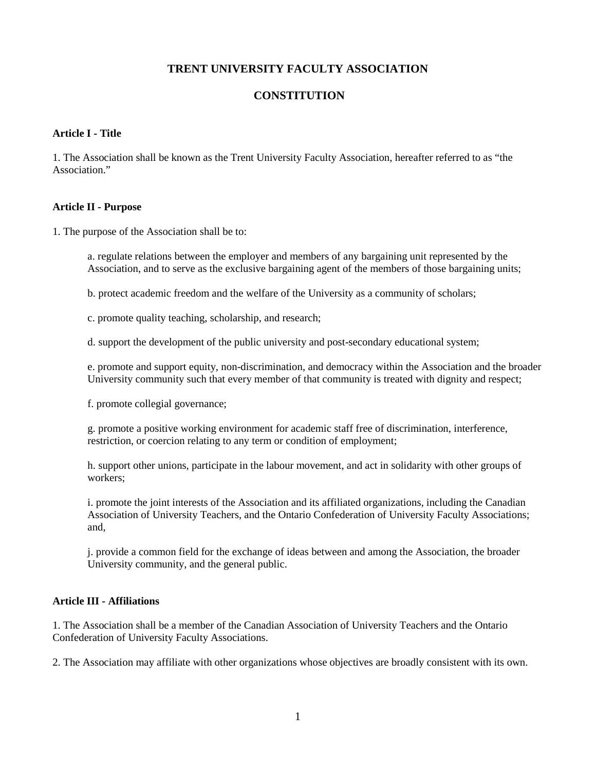# **TRENT UNIVERSITY FACULTY ASSOCIATION**

# **CONSTITUTION**

#### **Article I - Title**

1. The Association shall be known as the Trent University Faculty Association, hereafter referred to as "the Association."

### **Article II - Purpose**

1. The purpose of the Association shall be to:

a. regulate relations between the employer and members of any bargaining unit represented by the Association, and to serve as the exclusive bargaining agent of the members of those bargaining units;

b. protect academic freedom and the welfare of the University as a community of scholars;

c. promote quality teaching, scholarship, and research;

d. support the development of the public university and post-secondary educational system;

e. promote and support equity, non-discrimination, and democracy within the Association and the broader University community such that every member of that community is treated with dignity and respect;

f. promote collegial governance;

g. promote a positive working environment for academic staff free of discrimination, interference, restriction, or coercion relating to any term or condition of employment;

h. support other unions, participate in the labour movement, and act in solidarity with other groups of workers;

i. promote the joint interests of the Association and its affiliated organizations, including the Canadian Association of University Teachers, and the Ontario Confederation of University Faculty Associations; and,

j. provide a common field for the exchange of ideas between and among the Association, the broader University community, and the general public.

## **Article III - Affiliations**

1. The Association shall be a member of the Canadian Association of University Teachers and the Ontario Confederation of University Faculty Associations.

2. The Association may affiliate with other organizations whose objectives are broadly consistent with its own.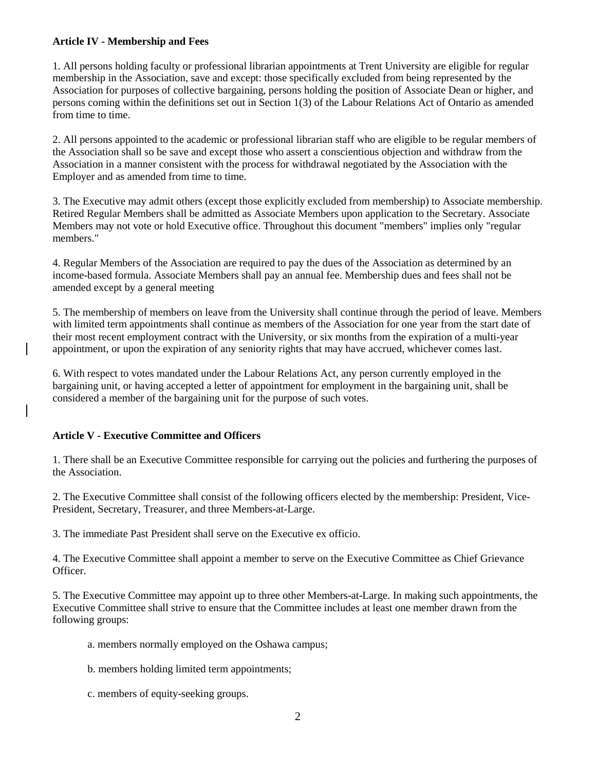## **Article IV - Membership and Fees**

1. All persons holding faculty or professional librarian appointments at Trent University are eligible for regular membership in the Association, save and except: those specifically excluded from being represented by the Association for purposes of collective bargaining, persons holding the position of Associate Dean or higher, and persons coming within the definitions set out in Section 1(3) of the Labour Relations Act of Ontario as amended from time to time.

2. All persons appointed to the academic or professional librarian staff who are eligible to be regular members of the Association shall so be save and except those who assert a conscientious objection and withdraw from the Association in a manner consistent with the process for withdrawal negotiated by the Association with the Employer and as amended from time to time.

3. The Executive may admit others (except those explicitly excluded from membership) to Associate membership. Retired Regular Members shall be admitted as Associate Members upon application to the Secretary. Associate Members may not vote or hold Executive office. Throughout this document "members" implies only "regular members."

4. Regular Members of the Association are required to pay the dues of the Association as determined by an income-based formula. Associate Members shall pay an annual fee. Membership dues and fees shall not be amended except by a general meeting

5. The membership of members on leave from the University shall continue through the period of leave. Members with limited term appointments shall continue as members of the Association for one year from the start date of their most recent employment contract with the University, or six months from the expiration of a multi-year appointment, or upon the expiration of any seniority rights that may have accrued, whichever comes last.

6. With respect to votes mandated under the Labour Relations Act, any person currently employed in the bargaining unit, or having accepted a letter of appointment for employment in the bargaining unit, shall be considered a member of the bargaining unit for the purpose of such votes.

## **Article V - Executive Committee and Officers**

1. There shall be an Executive Committee responsible for carrying out the policies and furthering the purposes of the Association.

2. The Executive Committee shall consist of the following officers elected by the membership: President, Vice-President, Secretary, Treasurer, and three Members-at-Large.

3. The immediate Past President shall serve on the Executive ex officio.

4. The Executive Committee shall appoint a member to serve on the Executive Committee as Chief Grievance Officer.

5. The Executive Committee may appoint up to three other Members-at-Large. In making such appointments, the Executive Committee shall strive to ensure that the Committee includes at least one member drawn from the following groups:

a. members normally employed on the Oshawa campus;

b. members holding limited term appointments;

c. members of equity-seeking groups.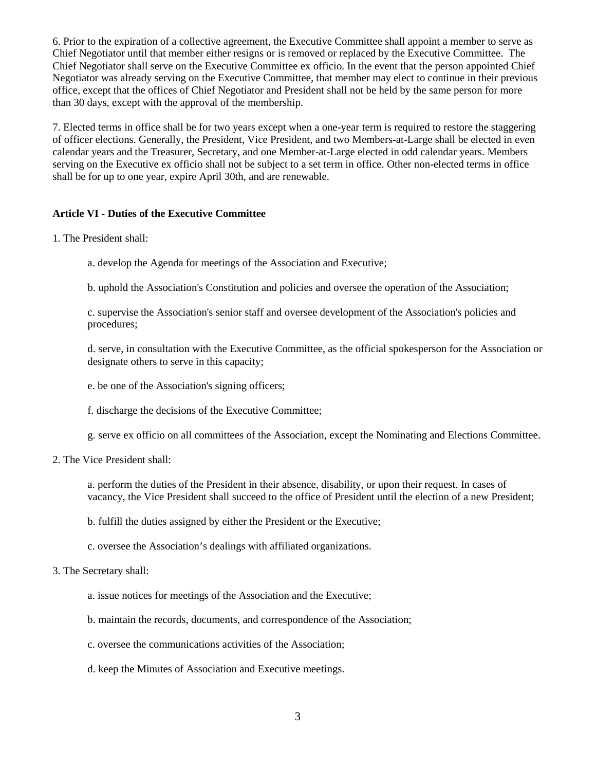6. Prior to the expiration of a collective agreement, the Executive Committee shall appoint a member to serve as Chief Negotiator until that member either resigns or is removed or replaced by the Executive Committee. The Chief Negotiator shall serve on the Executive Committee ex officio. In the event that the person appointed Chief Negotiator was already serving on the Executive Committee, that member may elect to continue in their previous office, except that the offices of Chief Negotiator and President shall not be held by the same person for more than 30 days, except with the approval of the membership.

7. Elected terms in office shall be for two years except when a one-year term is required to restore the staggering of officer elections. Generally, the President, Vice President, and two Members-at-Large shall be elected in even calendar years and the Treasurer, Secretary, and one Member-at-Large elected in odd calendar years. Members serving on the Executive ex officio shall not be subject to a set term in office. Other non-elected terms in office shall be for up to one year, expire April 30th, and are renewable.

## **Article VI - Duties of the Executive Committee**

- 1. The President shall:
	- a. develop the Agenda for meetings of the Association and Executive;
	- b. uphold the Association's Constitution and policies and oversee the operation of the Association;

c. supervise the Association's senior staff and oversee development of the Association's policies and procedures;

d. serve, in consultation with the Executive Committee, as the official spokesperson for the Association or designate others to serve in this capacity;

- e. be one of the Association's signing officers;
- f. discharge the decisions of the Executive Committee;
- g. serve ex officio on all committees of the Association, except the Nominating and Elections Committee.
- 2. The Vice President shall:

a. perform the duties of the President in their absence, disability, or upon their request. In cases of vacancy, the Vice President shall succeed to the office of President until the election of a new President;

- b. fulfill the duties assigned by either the President or the Executive;
- c. oversee the Association's dealings with affiliated organizations.

#### 3. The Secretary shall:

- a. issue notices for meetings of the Association and the Executive;
- b. maintain the records, documents, and correspondence of the Association;
- c. oversee the communications activities of the Association;
- d. keep the Minutes of Association and Executive meetings.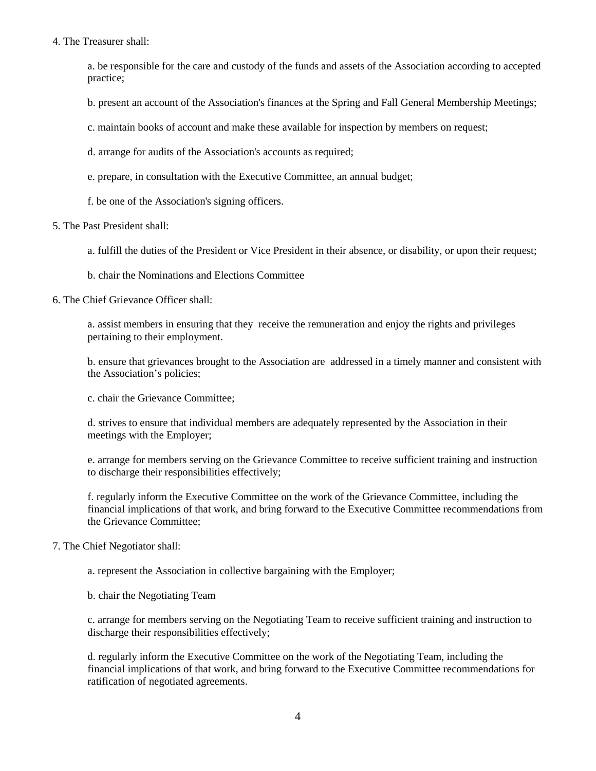### 4. The Treasurer shall:

a. be responsible for the care and custody of the funds and assets of the Association according to accepted practice;

b. present an account of the Association's finances at the Spring and Fall General Membership Meetings;

c. maintain books of account and make these available for inspection by members on request;

d. arrange for audits of the Association's accounts as required;

- e. prepare, in consultation with the Executive Committee, an annual budget;
- f. be one of the Association's signing officers.

### 5. The Past President shall:

a. fulfill the duties of the President or Vice President in their absence, or disability, or upon their request;

b. chair the Nominations and Elections Committee

6. The Chief Grievance Officer shall:

a. assist members in ensuring that they receive the remuneration and enjoy the rights and privileges pertaining to their employment.

b. ensure that grievances brought to the Association are addressed in a timely manner and consistent with the Association's policies;

c. chair the Grievance Committee;

d. strives to ensure that individual members are adequately represented by the Association in their meetings with the Employer;

e. arrange for members serving on the Grievance Committee to receive sufficient training and instruction to discharge their responsibilities effectively;

f. regularly inform the Executive Committee on the work of the Grievance Committee, including the financial implications of that work, and bring forward to the Executive Committee recommendations from the Grievance Committee;

## 7. The Chief Negotiator shall:

a. represent the Association in collective bargaining with the Employer;

b. chair the Negotiating Team

c. arrange for members serving on the Negotiating Team to receive sufficient training and instruction to discharge their responsibilities effectively;

d. regularly inform the Executive Committee on the work of the Negotiating Team, including the financial implications of that work, and bring forward to the Executive Committee recommendations for ratification of negotiated agreements.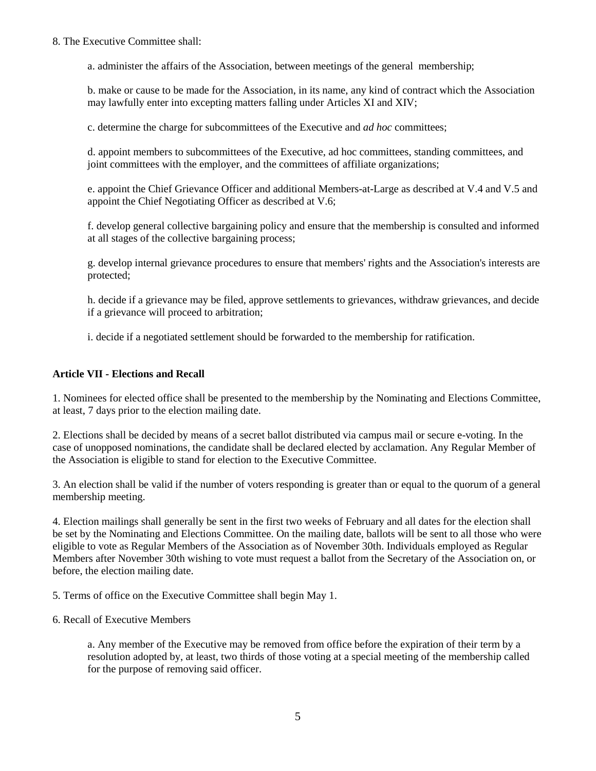## 8. The Executive Committee shall:

a. administer the affairs of the Association, between meetings of the general membership;

b. make or cause to be made for the Association, in its name, any kind of contract which the Association may lawfully enter into excepting matters falling under Articles XI and XIV;

c. determine the charge for subcommittees of the Executive and *ad hoc* committees;

d. appoint members to subcommittees of the Executive, ad hoc committees, standing committees, and joint committees with the employer, and the committees of affiliate organizations;

e. appoint the Chief Grievance Officer and additional Members-at-Large as described at V.4 and V.5 and appoint the Chief Negotiating Officer as described at V.6;

f. develop general collective bargaining policy and ensure that the membership is consulted and informed at all stages of the collective bargaining process;

g. develop internal grievance procedures to ensure that members' rights and the Association's interests are protected;

h. decide if a grievance may be filed, approve settlements to grievances, withdraw grievances, and decide if a grievance will proceed to arbitration;

i. decide if a negotiated settlement should be forwarded to the membership for ratification.

### **Article VII - Elections and Recall**

1. Nominees for elected office shall be presented to the membership by the Nominating and Elections Committee, at least, 7 days prior to the election mailing date.

2. Elections shall be decided by means of a secret ballot distributed via campus mail or secure e-voting. In the case of unopposed nominations, the candidate shall be declared elected by acclamation. Any Regular Member of the Association is eligible to stand for election to the Executive Committee.

3. An election shall be valid if the number of voters responding is greater than or equal to the quorum of a general membership meeting.

4. Election mailings shall generally be sent in the first two weeks of February and all dates for the election shall be set by the Nominating and Elections Committee. On the mailing date, ballots will be sent to all those who were eligible to vote as Regular Members of the Association as of November 30th. Individuals employed as Regular Members after November 30th wishing to vote must request a ballot from the Secretary of the Association on, or before, the election mailing date.

5. Terms of office on the Executive Committee shall begin May 1.

#### 6. Recall of Executive Members

a. Any member of the Executive may be removed from office before the expiration of their term by a resolution adopted by, at least, two thirds of those voting at a special meeting of the membership called for the purpose of removing said officer.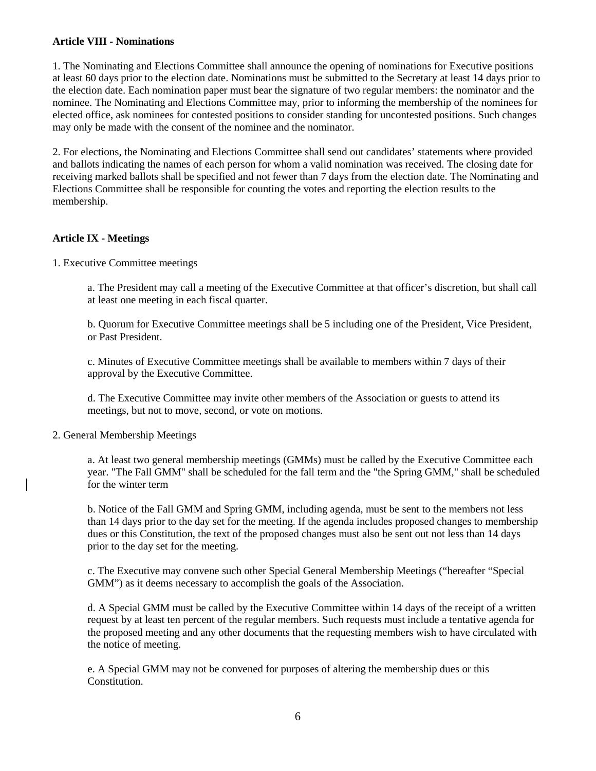## **Article VIII - Nominations**

1. The Nominating and Elections Committee shall announce the opening of nominations for Executive positions at least 60 days prior to the election date. Nominations must be submitted to the Secretary at least 14 days prior to the election date. Each nomination paper must bear the signature of two regular members: the nominator and the nominee. The Nominating and Elections Committee may, prior to informing the membership of the nominees for elected office, ask nominees for contested positions to consider standing for uncontested positions. Such changes may only be made with the consent of the nominee and the nominator.

2. For elections, the Nominating and Elections Committee shall send out candidates' statements where provided and ballots indicating the names of each person for whom a valid nomination was received. The closing date for receiving marked ballots shall be specified and not fewer than 7 days from the election date. The Nominating and Elections Committee shall be responsible for counting the votes and reporting the election results to the membership.

## **Article IX - Meetings**

1. Executive Committee meetings

a. The President may call a meeting of the Executive Committee at that officer's discretion, but shall call at least one meeting in each fiscal quarter.

b. Quorum for Executive Committee meetings shall be 5 including one of the President, Vice President, or Past President.

c. Minutes of Executive Committee meetings shall be available to members within 7 days of their approval by the Executive Committee.

d. The Executive Committee may invite other members of the Association or guests to attend its meetings, but not to move, second, or vote on motions.

2. General Membership Meetings

a. At least two general membership meetings (GMMs) must be called by the Executive Committee each year. "The Fall GMM" shall be scheduled for the fall term and the "the Spring GMM," shall be scheduled for the winter term

b. Notice of the Fall GMM and Spring GMM, including agenda, must be sent to the members not less than 14 days prior to the day set for the meeting. If the agenda includes proposed changes to membership dues or this Constitution, the text of the proposed changes must also be sent out not less than 14 days prior to the day set for the meeting.

c. The Executive may convene such other Special General Membership Meetings ("hereafter "Special GMM") as it deems necessary to accomplish the goals of the Association.

d. A Special GMM must be called by the Executive Committee within 14 days of the receipt of a written request by at least ten percent of the regular members. Such requests must include a tentative agenda for the proposed meeting and any other documents that the requesting members wish to have circulated with the notice of meeting.

e. A Special GMM may not be convened for purposes of altering the membership dues or this Constitution.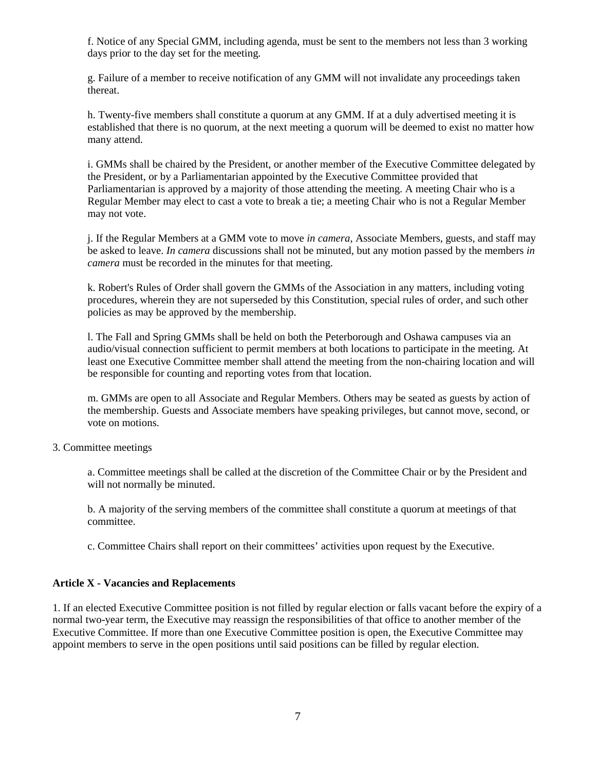f. Notice of any Special GMM, including agenda, must be sent to the members not less than 3 working days prior to the day set for the meeting.

g. Failure of a member to receive notification of any GMM will not invalidate any proceedings taken thereat.

h. Twenty-five members shall constitute a quorum at any GMM. If at a duly advertised meeting it is established that there is no quorum, at the next meeting a quorum will be deemed to exist no matter how many attend.

i. GMMs shall be chaired by the President, or another member of the Executive Committee delegated by the President, or by a Parliamentarian appointed by the Executive Committee provided that Parliamentarian is approved by a majority of those attending the meeting. A meeting Chair who is a Regular Member may elect to cast a vote to break a tie; a meeting Chair who is not a Regular Member may not vote.

j. If the Regular Members at a GMM vote to move *in camera*, Associate Members, guests, and staff may be asked to leave. *In camera* discussions shall not be minuted, but any motion passed by the members *in camera* must be recorded in the minutes for that meeting.

k. Robert's Rules of Order shall govern the GMMs of the Association in any matters, including voting procedures, wherein they are not superseded by this Constitution, special rules of order, and such other policies as may be approved by the membership.

l. The Fall and Spring GMMs shall be held on both the Peterborough and Oshawa campuses via an audio/visual connection sufficient to permit members at both locations to participate in the meeting. At least one Executive Committee member shall attend the meeting from the non-chairing location and will be responsible for counting and reporting votes from that location.

m. GMMs are open to all Associate and Regular Members. Others may be seated as guests by action of the membership. Guests and Associate members have speaking privileges, but cannot move, second, or vote on motions.

3. Committee meetings

a. Committee meetings shall be called at the discretion of the Committee Chair or by the President and will not normally be minuted.

b. A majority of the serving members of the committee shall constitute a quorum at meetings of that committee.

c. Committee Chairs shall report on their committees' activities upon request by the Executive.

## **Article X - Vacancies and Replacements**

1. If an elected Executive Committee position is not filled by regular election or falls vacant before the expiry of a normal two-year term, the Executive may reassign the responsibilities of that office to another member of the Executive Committee. If more than one Executive Committee position is open, the Executive Committee may appoint members to serve in the open positions until said positions can be filled by regular election.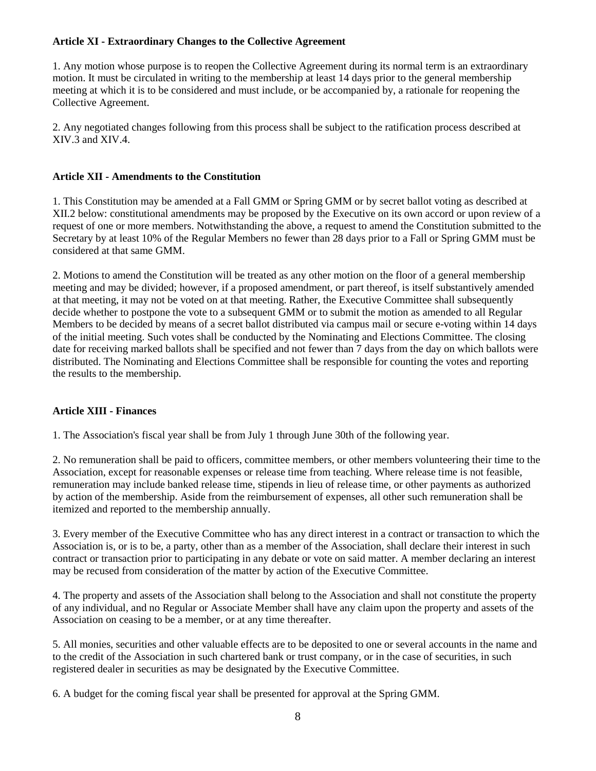## **Article XI - Extraordinary Changes to the Collective Agreement**

1. Any motion whose purpose is to reopen the Collective Agreement during its normal term is an extraordinary motion. It must be circulated in writing to the membership at least 14 days prior to the general membership meeting at which it is to be considered and must include, or be accompanied by, a rationale for reopening the Collective Agreement.

2. Any negotiated changes following from this process shall be subject to the ratification process described at XIV.3 and XIV.4.

# **Article XII - Amendments to the Constitution**

1. This Constitution may be amended at a Fall GMM or Spring GMM or by secret ballot voting as described at XII.2 below: constitutional amendments may be proposed by the Executive on its own accord or upon review of a request of one or more members. Notwithstanding the above, a request to amend the Constitution submitted to the Secretary by at least 10% of the Regular Members no fewer than 28 days prior to a Fall or Spring GMM must be considered at that same GMM.

2. Motions to amend the Constitution will be treated as any other motion on the floor of a general membership meeting and may be divided; however, if a proposed amendment, or part thereof, is itself substantively amended at that meeting, it may not be voted on at that meeting. Rather, the Executive Committee shall subsequently decide whether to postpone the vote to a subsequent GMM or to submit the motion as amended to all Regular Members to be decided by means of a secret ballot distributed via campus mail or secure e-voting within 14 days of the initial meeting. Such votes shall be conducted by the Nominating and Elections Committee. The closing date for receiving marked ballots shall be specified and not fewer than 7 days from the day on which ballots were distributed. The Nominating and Elections Committee shall be responsible for counting the votes and reporting the results to the membership.

## **Article XIII - Finances**

1. The Association's fiscal year shall be from July 1 through June 30th of the following year.

2. No remuneration shall be paid to officers, committee members, or other members volunteering their time to the Association, except for reasonable expenses or release time from teaching. Where release time is not feasible, remuneration may include banked release time, stipends in lieu of release time, or other payments as authorized by action of the membership. Aside from the reimbursement of expenses, all other such remuneration shall be itemized and reported to the membership annually.

3. Every member of the Executive Committee who has any direct interest in a contract or transaction to which the Association is, or is to be, a party, other than as a member of the Association, shall declare their interest in such contract or transaction prior to participating in any debate or vote on said matter. A member declaring an interest may be recused from consideration of the matter by action of the Executive Committee.

4. The property and assets of the Association shall belong to the Association and shall not constitute the property of any individual, and no Regular or Associate Member shall have any claim upon the property and assets of the Association on ceasing to be a member, or at any time thereafter.

5. All monies, securities and other valuable effects are to be deposited to one or several accounts in the name and to the credit of the Association in such chartered bank or trust company, or in the case of securities, in such registered dealer in securities as may be designated by the Executive Committee.

6. A budget for the coming fiscal year shall be presented for approval at the Spring GMM.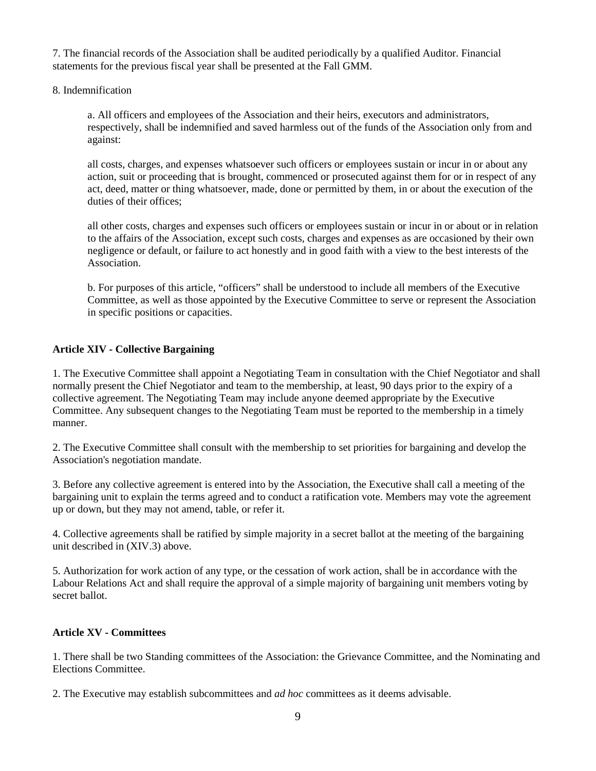7. The financial records of the Association shall be audited periodically by a qualified Auditor. Financial statements for the previous fiscal year shall be presented at the Fall GMM.

8. Indemnification

a. All officers and employees of the Association and their heirs, executors and administrators, respectively, shall be indemnified and saved harmless out of the funds of the Association only from and against:

all costs, charges, and expenses whatsoever such officers or employees sustain or incur in or about any action, suit or proceeding that is brought, commenced or prosecuted against them for or in respect of any act, deed, matter or thing whatsoever, made, done or permitted by them, in or about the execution of the duties of their offices;

all other costs, charges and expenses such officers or employees sustain or incur in or about or in relation to the affairs of the Association, except such costs, charges and expenses as are occasioned by their own negligence or default, or failure to act honestly and in good faith with a view to the best interests of the Association.

b. For purposes of this article, "officers" shall be understood to include all members of the Executive Committee, as well as those appointed by the Executive Committee to serve or represent the Association in specific positions or capacities.

## **Article XIV - Collective Bargaining**

1. The Executive Committee shall appoint a Negotiating Team in consultation with the Chief Negotiator and shall normally present the Chief Negotiator and team to the membership, at least, 90 days prior to the expiry of a collective agreement. The Negotiating Team may include anyone deemed appropriate by the Executive Committee. Any subsequent changes to the Negotiating Team must be reported to the membership in a timely manner.

2. The Executive Committee shall consult with the membership to set priorities for bargaining and develop the Association's negotiation mandate.

3. Before any collective agreement is entered into by the Association, the Executive shall call a meeting of the bargaining unit to explain the terms agreed and to conduct a ratification vote. Members may vote the agreement up or down, but they may not amend, table, or refer it.

4. Collective agreements shall be ratified by simple majority in a secret ballot at the meeting of the bargaining unit described in (XIV.3) above.

5. Authorization for work action of any type, or the cessation of work action, shall be in accordance with the Labour Relations Act and shall require the approval of a simple majority of bargaining unit members voting by secret ballot.

## **Article XV - Committees**

1. There shall be two Standing committees of the Association: the Grievance Committee, and the Nominating and Elections Committee.

2. The Executive may establish subcommittees and *ad hoc* committees as it deems advisable.